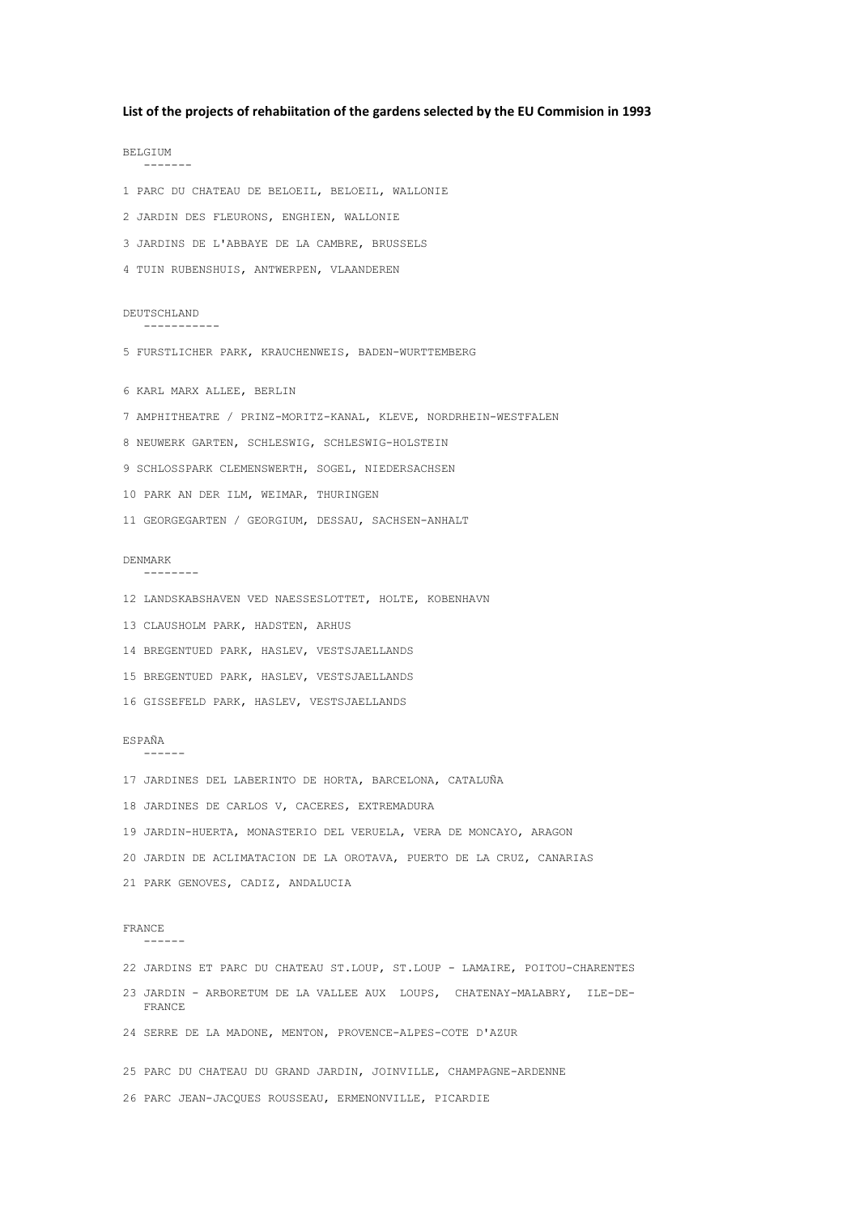### **List of the projects of rehabiitation of the gardens selected by the EU Commision in 1993**

BELGIUM ------- 1 PARC DU CHATEAU DE BELOEIL, BELOEIL, WALLONIE 2 JARDIN DES FLEURONS, ENGHIEN, WALLONIE 3 JARDINS DE L'ABBAYE DE LA CAMBRE, BRUSSELS 4 TUIN RUBENSHUIS, ANTWERPEN, VLAANDEREN DEUTSCHLAND ----------- 5 FURSTLICHER PARK, KRAUCHENWEIS, BADEN-WURTTEMBERG 6 KARL MARX ALLEE, BERLIN 7 AMPHITHEATRE / PRINZ-MORITZ-KANAL, KLEVE, NORDRHEIN-WESTFALEN 8 NEUWERK GARTEN, SCHLESWIG, SCHLESWIG-HOLSTEIN 9 SCHLOSSPARK CLEMENSWERTH, SOGEL, NIEDERSACHSEN 10 PARK AN DER ILM, WEIMAR, THURINGEN 11 GEORGEGARTEN / GEORGIUM, DESSAU, SACHSEN-ANHALT DENMARK -------- 12 LANDSKABSHAVEN VED NAESSESLOTTET, HOLTE, KOBENHAVN 13 CLAUSHOLM PARK, HADSTEN, ARHUS 14 BREGENTUED PARK, HASLEV, VESTSJAELLANDS 15 BREGENTUED PARK, HASLEV, VESTSJAELLANDS 16 GISSEFELD PARK, HASLEV, VESTSJAELLANDS ESPAÑA ------ 17 JARDINES DEL LABERINTO DE HORTA, BARCELONA, CATALUÑA 18 JARDINES DE CARLOS V, CACERES, EXTREMADURA 19 JARDIN-HUERTA, MONASTERIO DEL VERUELA, VERA DE MONCAYO, ARAGON 20 JARDIN DE ACLIMATACION DE LA OROTAVA, PUERTO DE LA CRUZ, CANARIAS 21 PARK GENOVES, CADIZ, ANDALUCIA FRANCE ------ 22 JARDINS ET PARC DU CHATEAU ST.LOUP, ST.LOUP - LAMAIRE, POITOU-CHARENTES 23 JARDIN - ARBORETUM DE LA VALLEE AUX LOUPS, CHATENAY-MALABRY, ILE-DE- FRANCE 24 SERRE DE LA MADONE, MENTON, PROVENCE-ALPES-COTE D'AZUR 25 PARC DU CHATEAU DU GRAND JARDIN, JOINVILLE, CHAMPAGNE-ARDENNE 26 PARC JEAN-JACQUES ROUSSEAU, ERMENONVILLE, PICARDIE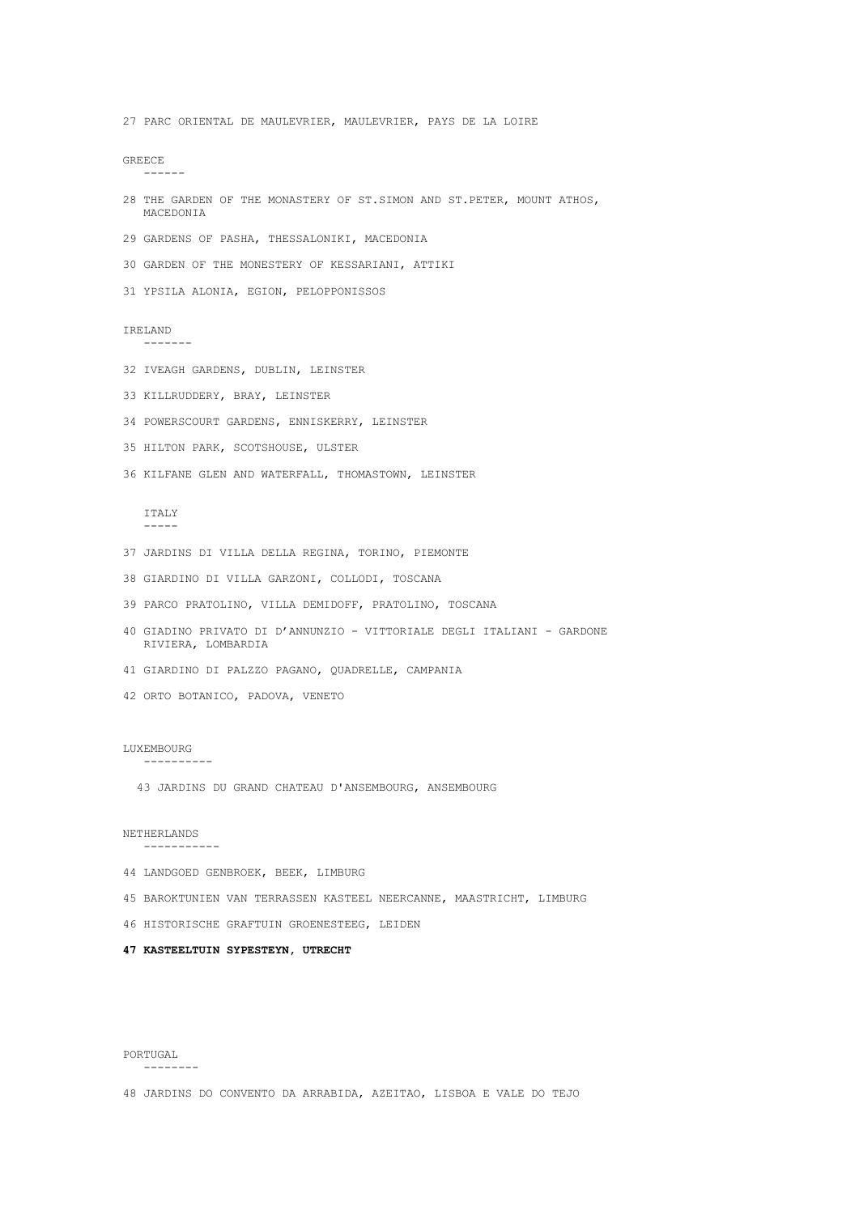48 JARDINS DO CONVENTO DA ARRABIDA, AZEITAO, LISBOA E VALE DO TEJO

PORTUGAL --------

### **47 KASTEELTUIN SYPESTEYN, UTRECHT**

46 HISTORISCHE GRAFTUIN GROENESTEEG, LEIDEN

45 BAROKTUNIEN VAN TERRASSEN KASTEEL NEERCANNE, MAASTRICHT, LIMBURG

44 LANDGOED GENBROEK, BEEK, LIMBURG

43 JARDINS DU GRAND CHATEAU D'ANSEMBOURG, ANSEMBOURG

NETHERLANDS -----------

LUXEMBOURG ----------

42 ORTO BOTANICO, PADOVA, VENETO

## 35 HILTON PARK, SCOTSHOUSE, ULSTER

36 KILFANE GLEN AND WATERFALL, THOMASTOWN, LEINSTER

-----

RIVIERA, LOMBARDIA

41 GIARDINO DI PALZZO PAGANO, QUADRELLE, CAMPANIA

37 JARDINS DI VILLA DELLA REGINA, TORINO, PIEMONTE

39 PARCO PRATOLINO, VILLA DEMIDOFF, PRATOLINO, TOSCANA

40 GIADINO PRIVATO DI D'ANNUNZIO - VITTORIALE DEGLI ITALIANI - GARDONE

38 GIARDINO DI VILLA GARZONI, COLLODI, TOSCANA

ITALY

34 POWERSCOURT GARDENS, ENNISKERRY, LEINSTER

**GREECE** ------

28 THE GARDEN OF THE MONASTERY OF ST.SIMON AND ST.PETER, MOUNT ATHOS, MACEDONIA

29 GARDENS OF PASHA, THESSALONIKI, MACEDONIA

30 GARDEN OF THE MONESTERY OF KESSARIANI, ATTIKI

31 YPSILA ALONIA, EGION, PELOPPONISSOS

32 IVEAGH GARDENS, DUBLIN, LEINSTER

33 KILLRUDDERY, BRAY, LEINSTER

IRELAND -------

27 PARC ORIENTAL DE MAULEVRIER, MAULEVRIER, PAYS DE LA LOIRE